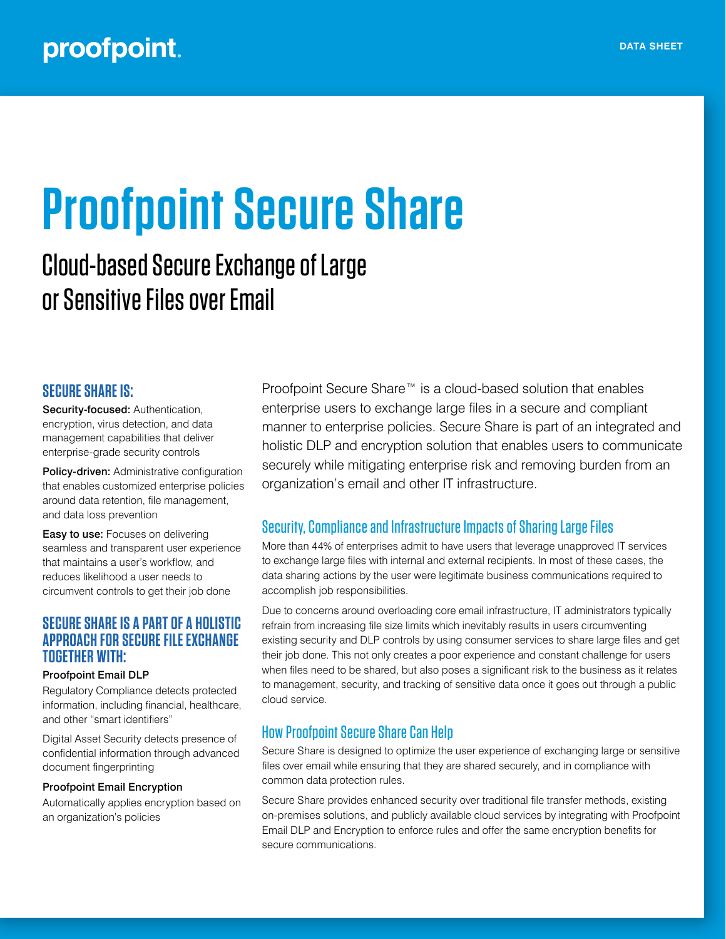# **Proofpoint Secure Share**

# Cloud-based Secure Exchange of Large or Sensitive Files over Email

#### **SECURE SHARE IS:**

Security-focused: Authentication, encryption, virus detection, and data management capabilities that deliver enterprise-grade security controls

Policy-driven: Administrative configuration that enables customized enterprise policies around data retention, file management, and data loss prevention

**Easy to use:** Focuses on delivering seamless and transparent user experience that maintains a user's workflow, and reduces likelihood a user needs to circumvent controls to get their job done

#### **SECURE SHARE IS A PART OF A HOLISTIC APPROACH FOR SECURE FILE EXCHANGE TOGETHER WITH:**

#### Proofpoint Email DLP

Regulatory Compliance detects protected information, including financial, healthcare, and other "smart identifiers"

Digital Asset Security detects presence of confidential information through advanced document fingerprinting

#### Proofpoint Email Encryption

Automatically applies encryption based on an organization's policies

Proofpoint Secure Share™ is a cloud-based solution that enables enterprise users to exchange large files in a secure and compliant manner to enterprise policies. Secure Share is part of an integrated and holistic DLP and encryption solution that enables users to communicate securely while mitigating enterprise risk and removing burden from an organization's email and other IT infrastructure.

#### Security, Compliance and Infrastructure Impacts of Sharing Large Files

More than 44% of enterprises admit to have users that leverage unapproved IT services to exchange large files with internal and external recipients. In most of these cases, the data sharing actions by the user were legitimate business communications required to accomplish job responsibilities.

Due to concerns around overloading core email infrastructure, IT administrators typically refrain from increasing file size limits which inevitably results in users circumventing existing security and DLP controls by using consumer services to share large files and get their job done. This not only creates a poor experience and constant challenge for users when files need to be shared, but also poses a significant risk to the business as it relates to management, security, and tracking of sensitive data once it goes out through a public cloud service.

#### How Proofpoint Secure Share Can Help

Secure Share is designed to optimize the user experience of exchanging large or sensitive files over email while ensuring that they are shared securely, and in compliance with common data protection rules.

Secure Share provides enhanced security over traditional file transfer methods, existing on-premises solutions, and publicly available cloud services by integrating with Proofpoint Email DLP and Encryption to enforce rules and offer the same encryption benefits for secure communications.